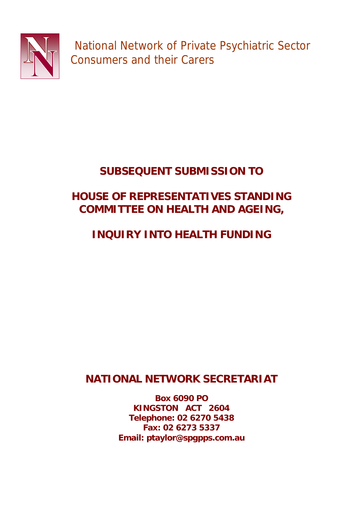

National Network of Private Psychiatric Sector Consumers and their Carers

# **SUBSEQUENT SUBMISSION TO**

## **HOUSE OF REPRESENTATIVES STANDING COMMITTEE ON HEALTH AND AGEING,**

# **INQUIRY INTO HEALTH FUNDING**

## **NATIONAL NETWORK SECRETARIAT**

**Box 6090 PO KINGSTON ACT 2604 Telephone: 02 6270 5438 Fax: 02 6273 5337 Email: ptaylor@spgpps.com.au**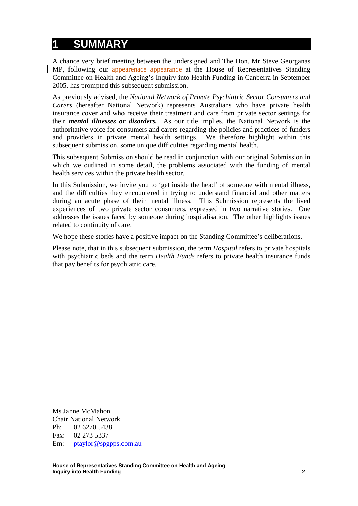### **1 SUMMARY**

A chance very brief meeting between the undersigned and The Hon. Mr Steve Georganas MP, following our appearenace appearance at the House of Representatives Standing Committee on Health and Ageing's Inquiry into Health Funding in Canberra in September 2005, has prompted this subsequent submission.

As previously advised, the *National Network of Private Psychiatric Sector Consumers and Carers* (hereafter National Network) represents Australians who have private health insurance cover and who receive their treatment and care from private sector settings for their *mental illnesses or disorders.* As our title implies, the National Network is the authoritative voice for consumers and carers regarding the policies and practices of funders and providers in private mental health settings. We therefore highlight within this subsequent submission, some unique difficulties regarding mental health.

This subsequent Submission should be read in conjunction with our original Submission in which we outlined in some detail, the problems associated with the funding of mental health services within the private health sector.

In this Submission, we invite you to 'get inside the head' of someone with mental illness, and the difficulties they encountered in trying to understand financial and other matters during an acute phase of their mental illness. This Submission represents the lived experiences of two private sector consumers, expressed in two narrative stories. One addresses the issues faced by someone during hospitalisation. The other highlights issues related to continuity of care.

We hope these stories have a positive impact on the Standing Committee's deliberations.

Please note, that in this subsequent submission, the term *Hospital* refers to private hospitals with psychiatric beds and the term *Health Funds* refers to private health insurance funds that pay benefits for psychiatric care.

Ms Janne McMahon Chair National Network Ph: 02 6270 5438 Fax: 02 273 5337 Em: ptaylor@spgpps.com.au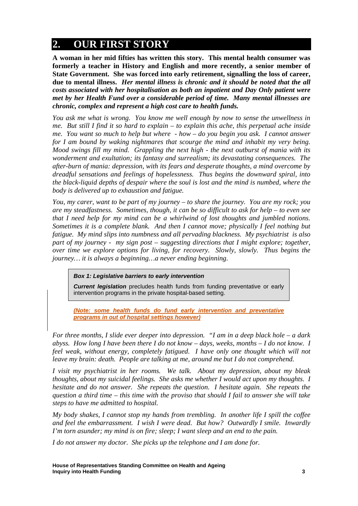## **2. OUR FIRST STORY**

**A woman in her mid fifties has written this story. This mental health consumer was formerly a teacher in History and English and more recently, a senior member of State Government. She was forced into early retirement, signalling the loss of career, due to mental illness.** *Her mental illness is chronic and it should be noted that the all costs associated with her hospitalisation as both an inpatient and Day Only patient were met by her Health Fund over a considerable period of time. Many mental illnesses are chronic, complex and represent a high cost care to health funds.*

*You ask me what is wrong. You know me well enough by now to sense the unwellness in me. But still I find it so hard to explain – to explain this ache, this perpetual ache inside me. You want so much to help but where - how – do you begin you ask. I cannot answer for I am bound by waking nightmares that scourge the mind and inhabit my very being. Mood swings fill my mind. Grappling the next high - the next outburst of mania with its wonderment and exultation; its fantasy and surrealism; its devastating consequences. The after-burn of mania: depression, with its fears and desperate thoughts, a mind overcome by dreadful sensations and feelings of hopelessness. Thus begins the downward spiral, into the black-liquid depths of despair where the soul is lost and the mind is numbed, where the body is delivered up to exhaustion and fatigue.* 

*You, my carer, want to be part of my journey – to share the journey. You are my rock; you are my steadfastness. Sometimes, though, it can be so difficult to ask for help – to even see that I need help for my mind can be a whirlwind of lost thoughts and jumbled notions. Sometimes it is a complete blank. And then I cannot move; physically I feel nothing but fatigue. My mind slips into numbness and all pervading blackness. My psychiatrist is also part of my journey - my sign post – suggesting directions that I might explore; together, over time we explore options for living, for recovery. Slowly, slowly. Thus begins the journey… it is always a beginning…a never ending beginning.* 

### *Box 1: Legislative barriers to early intervention*

*Current legislation* precludes health funds from funding preventative or early intervention programs in the private hospital-based setting.

*(Note: some health funds do fund early intervention and preventative programs in out of hospital settings however)*

*For three months, I slide ever deeper into depression. "I am in a deep black hole – a dark abyss. How long I have been there I do not know – days, weeks, months – I do not know. I feel weak, without energy, completely fatigued. I have only one thought which will not leave my brain: death. People are talking at me, around me but I do not comprehend.* 

*I visit my psychiatrist in her rooms. We talk. About my depression, about my bleak thoughts, about my suicidal feelings. She asks me whether I would act upon my thoughts. I hesitate and do not answer. She repeats the question. I hesitate again. She repeats the question a third time – this time with the proviso that should I fail to answer she will take steps to have me admitted to hospital.* 

*My body shakes, I cannot stop my hands from trembling. In another life I spill the coffee and feel the embarrassment. I wish I were dead. But how? Outwardly I smile. Inwardly I'm torn asunder; my mind is on fire; sleep; I want sleep and an end to the pain.* 

*I do not answer my doctor. She picks up the telephone and I am done for.*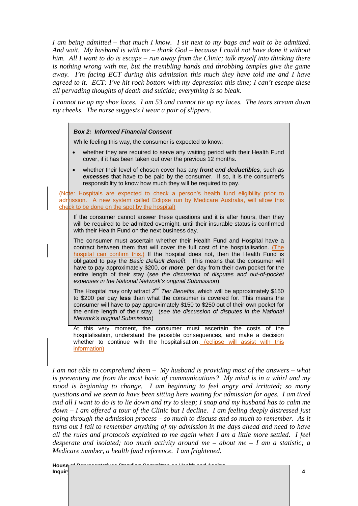*I am being admitted – that much I know. I sit next to my bags and wait to be admitted. And wait. My husband is with me – thank God – because I could not have done it without him. All I want to do is escape – run away from the Clinic; talk myself into thinking there is nothing wrong with me, but the trembling hands and throbbing temples give the game away. I'm facing ECT during this admission this much they have told me and I have agreed to it. ECT: I've hit rock bottom with my depression this time; I can't escape these all pervading thoughts of death and suicide; everything is so bleak.* 

*I cannot tie up my shoe laces. I am 53 and cannot tie up my laces. The tears stream down my cheeks. The nurse suggests I wear a pair of slippers.* 

#### *Box 2: Informed Financial Consent*

While feeling this way, the consumer is expected to know:

- whether they are required to serve any waiting period with their Health Fund cover, if it has been taken out over the previous 12 months.
- whether their level of chosen cover has any *front end deductibles*, such as *excesses* that have to be paid by the consumer. If so, it is the consumer's responsibility to know how much they will be required to pay.

(Note: Hospitals are expected to check a person's health fund eligibility prior to admission. A new system called Eclipse run by Medicare Australia, will allow this check to be done on the spot by the hospital)

If the consumer cannot answer these questions and it is after hours, then they will be required to be admitted overnight, until their insurable status is confirmed with their Health Fund on the next business day.

The consumer must ascertain whether their Health Fund and Hospital have a contract between them that will cover the full cost of the hospitalisation. (The hospital can confirm this.) If the hospital does not, then the Health Fund is obligated to pay the *Basic Default Benefit*. This means that the consumer will have to pay approximately \$200, *or more*, per day from their own pocket for the entire length of their stay (*see the discussion of disputes and out-of-pocket expenses in the National Network's original Submission*).

The Hospital may only attract *2nd Tier Benefits*, which will be approximately \$150 to \$200 per day **less** than what the consumer is covered for. This means the consumer will have to pay approximately \$150 to \$250 out of their own pocket for the entire length of their stay. (*see the discussion of disputes in the National Network's original Submission*)

At this very moment, the consumer must ascertain the costs of the hospitalisation, understand the possible consequences, and make a decision whether to continue with the hospitalisation. (eclipse will assist with this information)

*I am not able to comprehend them – My husband is providing most of the answers – what is preventing me from the most basic of communications? My mind is in a whirl and my mood is beginning to change. I am beginning to feel angry and irritated; so many questions and we seem to have been sitting here waiting for admission for ages. I am tired and all I want to do is to lie down and try to sleep; I snap and my husband has to calm me down – I am offered a tour of the Clinic but I decline. I am feeling deeply distressed just going through the admission process – so much to discuss and so much to remember. As it turns out I fail to remember anything of my admission in the days ahead and need to have all the rules and protocols explained to me again when I am a little more settled. I feel desperate and isolated; too much activity around me – about me – I am a statistic; a Medicare number, a health fund reference. I am frightened.*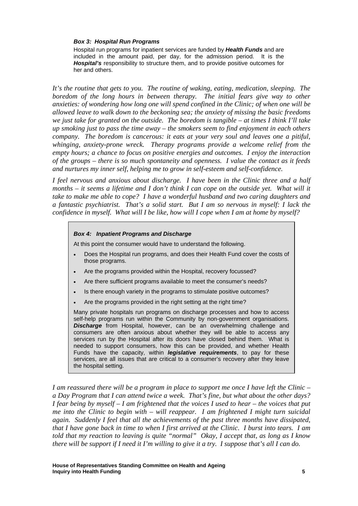#### *Box 3: Hospital Run Programs*

Hospital run programs for inpatient services are funded by *Health Funds* and are included in the amount paid, per day, for the admission period. It is the *Hospital's* responsibility to structure them, and to provide positive outcomes for her and others.

*It's the routine that gets to you. The routine of waking, eating, medication, sleeping. The boredom of the long hours in between therapy. The initial fears give way to other anxieties: of wondering how long one will spend confined in the Clinic; of when one will be allowed leave to walk down to the beckoning sea; the anxiety of missing the basic freedoms we just take for granted on the outside. The boredom is tangible – at times I think I'll take up smoking just to pass the time away – the smokers seem to find enjoyment in each others company. The boredom is cancerous: it eats at your very soul and leaves one a pitiful, whinging, anxiety-prone wreck. Therapy programs provide a welcome relief from the empty hours; a chance to focus on positive energies and outcomes. I enjoy the interaction of the groups – there is so much spontaneity and openness. I value the contact as it feeds and nurtures my inner self, helping me to grow in self-esteem and self-confidence.* 

*I feel nervous and anxious about discharge. I have been in the Clinic three and a half months – it seems a lifetime and I don't think I can cope on the outside yet. What will it take to make me able to cope? I have a wonderful husband and two caring daughters and a fantastic psychiatrist. That's a solid start. But I am so nervous in myself: I lack the confidence in myself. What will I be like, how will I cope when I am at home by myself?* 

#### *Box 4: Inpatient Programs and Discharge*

At this point the consumer would have to understand the following.

- Does the Hospital run programs, and does their Health Fund cover the costs of those programs.
- Are the programs provided within the Hospital, recovery focussed?
- Are there sufficient programs available to meet the consumer's needs?
- Is there enough variety in the programs to stimulate positive outcomes?
- Are the programs provided in the right setting at the right time?

Many private hospitals run programs on discharge processes and how to access self-help programs run within the Community by non-government organisations. *Discharge* from Hospital, however, can be an overwhelming challenge and consumers are often anxious about whether they will be able to access any services run by the Hospital after its doors have closed behind them. What is needed to support consumers, how this can be provided, and whether Health Funds have the capacity, within *legislative requirements*, to pay for these services, are all issues that are critical to a consumer's recovery after they leave the hospital setting.

*I am reassured there will be a program in place to support me once I have left the Clinic – a Day Program that I can attend twice a week. That's fine, but what about the other days? I fear being by myself – I am frightened that the voices I used to hear – the voices that put me into the Clinic to begin with – will reappear. I am frightened I might turn suicidal again. Suddenly I feel that all the achievements of the past three months have dissipated, that I have gone back in time to when I first arrived at the Clinic. I burst into tears. I am told that my reaction to leaving is quite "normal" Okay, I accept that, as long as I know there will be support if I need it I'm willing to give it a try. I suppose that's all I can do.*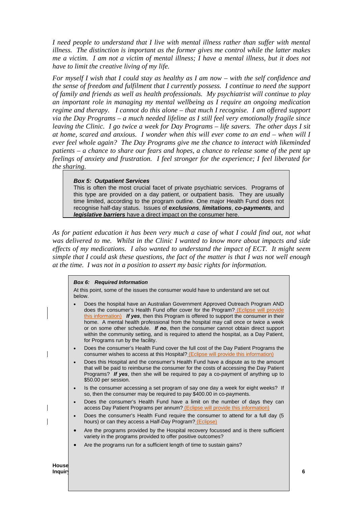*I need people to understand that I live with mental illness rather than suffer with mental illness. The distinction is important as the former gives me control while the latter makes me a victim. I am not a victim of mental illness; I have a mental illness, but it does not have to limit the creative living of my life.* 

*For myself I wish that I could stay as healthy as I am now – with the self confidence and the sense of freedom and fulfilment that I currently possess. I continue to need the support of family and friends as well as health professionals. My psychiatrist will continue to play an important role in managing my mental wellbeing as I require an ongoing medication regime and therapy. I cannot do this alone – that much I recognise. I am offered support via the Day Programs – a much needed lifeline as I still feel very emotionally fragile since leaving the Clinic. I go twice a week for Day Programs – life savers. The other days I sit at home, scared and anxious. I wonder when this will ever come to an end – when will I ever feel whole again? The Day Programs give me the chance to interact with likeminded patients – a chance to share our fears and hopes, a chance to release some of the pent up feelings of anxiety and frustration. I feel stronger for the experience; I feel liberated for the sharing.* 

#### *Box 5: Outpatient Services*

This is often the most crucial facet of private psychiatric services. Programs of this type are provided on a day patient, or outpatient basis. They are usually time limited, according to the program outline. One major Health Fund does not recognise half-day status. Issues of *exclusions*, *limitations*, *co-payments,* and *legislative barriers* have a direct impact on the consumer here.

*As for patient education it has been very much a case of what I could find out, not what was delivered to me. Whilst in the Clinic I wanted to know more about impacts and side effects of my medications. I also wanted to understand the impact of ECT. It might seem simple that I could ask these questions, the fact of the matter is that I was not well enough at the time. I was not in a position to assert my basic rights for information.* 

#### *Box 6: Required Information*

At this point, some of the issues the consumer would have to understand are set out below.

|                  | $\bullet$ | Does the hospital have an Australian Government Approved Outreach Program AND<br>does the consumer's Health Fund offer cover for the Program? (Eclipse will provide<br>this information) If yes, then this Program is offered to support the consumer in their<br>home. A mental health professional from the hospital may call once or twice a week<br>or on some other schedule. If no, then the consumer cannot obtain direct support<br>within the community setting, and is required to attend the hospital, as a Day Patient,<br>for Programs run by the facility. |   |
|------------------|-----------|--------------------------------------------------------------------------------------------------------------------------------------------------------------------------------------------------------------------------------------------------------------------------------------------------------------------------------------------------------------------------------------------------------------------------------------------------------------------------------------------------------------------------------------------------------------------------|---|
|                  | $\bullet$ | Does the consumer's Health Fund cover the full cost of the Day Patient Programs the<br>consumer wishes to access at this Hospital? (Eclipse will provide this information)                                                                                                                                                                                                                                                                                                                                                                                               |   |
|                  | $\bullet$ | Does this Hospital and the consumer's Health Fund have a dispute as to the amount<br>that will be paid to reimburse the consumer for the costs of accessing the Day Patient<br>Programs? If yes, then she will be required to pay a co-payment of anything up to<br>\$50.00 per session.                                                                                                                                                                                                                                                                                 |   |
|                  | $\bullet$ | Is the consumer accessing a set program of say one day a week for eight weeks? If<br>so, then the consumer may be required to pay \$400.00 in co-payments.                                                                                                                                                                                                                                                                                                                                                                                                               |   |
|                  | $\bullet$ | Does the consumer's Health Fund have a limit on the number of days they can<br>access Day Patient Programs per annum? (Eclipse will provide this information)                                                                                                                                                                                                                                                                                                                                                                                                            |   |
|                  | $\bullet$ | Does the consumer's Health Fund require the consumer to attend for a full day (5)<br>hours) or can they access a Half-Day Program? (Eclipse)                                                                                                                                                                                                                                                                                                                                                                                                                             |   |
|                  | $\bullet$ | Are the programs provided by the Hospital recovery focussed and is there sufficient<br>variety in the programs provided to offer positive outcomes?                                                                                                                                                                                                                                                                                                                                                                                                                      |   |
|                  |           | Are the programs run for a sufficient length of time to sustain gains?                                                                                                                                                                                                                                                                                                                                                                                                                                                                                                   |   |
| House<br>Inquir\ |           |                                                                                                                                                                                                                                                                                                                                                                                                                                                                                                                                                                          | 6 |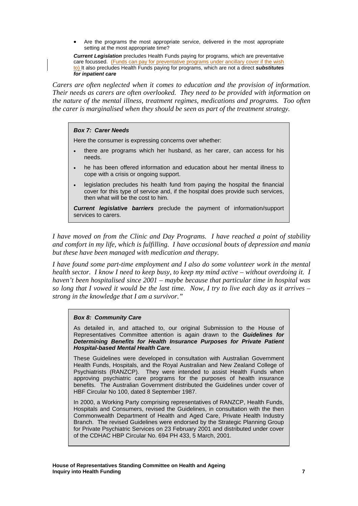Are the programs the most appropriate service, delivered in the most appropriate setting at the most appropriate time?

*Current Legislation* precludes Health Funds paying for programs, which are preventative care focussed. (Funds can pay for preventative programs under ancillary cover if the wish to) It also precludes Health Funds paying for programs, which are not a direct *substitutes for inpatient care*

*Carers are often neglected when it comes to education and the provision of information. Their needs as carers are often overlooked. They need to be provided with information on the nature of the mental illness, treatment regimes, medications and programs. Too often the carer is marginalised when they should be seen as part of the treatment strategy.* 

#### *Box 7: Carer Needs*

Here the consumer is expressing concerns over whether:

- there are programs which her husband, as her carer, can access for his needs.
- he has been offered information and education about her mental illness to cope with a crisis or ongoing support.
- legislation precludes his health fund from paying the hospital the financial cover for this type of service and, if the hospital does provide such services, then what will be the cost to him.

*Current legislative barriers* preclude the payment of information/support services to carers.

*I have moved on from the Clinic and Day Programs. I have reached a point of stability and comfort in my life, which is fulfilling. I have occasional bouts of depression and mania but these have been managed with medication and therapy.* 

*I have found some part-time employment and I also do some volunteer work in the mental health sector. I know I need to keep busy, to keep my mind active – without overdoing it. I haven't been hospitalised since 2001 – maybe because that particular time in hospital was so long that I vowed it would be the last time. Now, I try to live each day as it arrives – strong in the knowledge that I am a survivor."* 

#### *Box 8: Community Care*

As detailed in, and attached to, our original Submission to the House of Representatives Committee attention is again drawn to the *Guidelines for Determining Benefits for Health Insurance Purposes for Private Patient Hospital-based Mental Health Care.* 

These Guidelines were developed in consultation with Australian Government Health Funds, Hospitals, and the Royal Australian and New Zealand College of Psychiatrists (RANZCP). They were intended to assist Health Funds when approving psychiatric care programs for the purposes of health insurance benefits. The Australian Government distributed the Guidelines under cover of HBF Circular No 100, dated 8 September 1987.

In 2000, a Working Party comprising representatives of RANZCP, Health Funds, Hospitals and Consumers, revised the Guidelines, in consultation with the then Commonwealth Department of Health and Aged Care, Private Health Industry Branch. The revised Guidelines were endorsed by the Strategic Planning Group for Private Psychiatric Services on 23 February 2001 and distributed under cover of the CDHAC HBP Circular No. 694 PH 433, 5 March, 2001.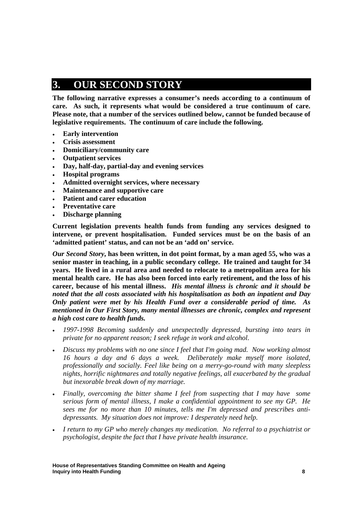## **3. OUR SECOND STORY**

**The following narrative expresses a consumer's needs according to a continuum of care. As such, it represents what would be considered a true continuum of care. Please note, that a number of the services outlined below, cannot be funded because of legislative requirements. The continuum of care include the following.** 

- **Early intervention**
- **Crisis assessment**
- **Domiciliary/community care**
- **Outpatient services**
- **Day, half-day, partial-day and evening services**
- **Hospital programs**
- **Admitted overnight services, where necessary**
- **Maintenance and supportive care**
- **Patient and carer education**
- **Preventative care**
- **Discharge planning**

**Current legislation prevents health funds from funding any services designed to intervene, or prevent hospitalisation. Funded services must be on the basis of an 'admitted patient' status, and can not be an 'add on' service.** 

*Our Second Story***, has been written, in dot point format, by a man aged 55, who was a senior master in teaching, in a public secondary college. He trained and taught for 34 years. He lived in a rural area and needed to relocate to a metropolitan area for his mental health care. He has also been forced into early retirement, and the loss of his career, because of his mental illness.** *His mental illness is chronic and it should be noted that the all costs associated with his hospitalisation as both an inpatient and Day Only patient were met by his Health Fund over a considerable period of time. As mentioned in Our First Story, many mental illnesses are chronic, complex and represent a high cost care to health funds.*

- *1997-1998 Becoming suddenly and unexpectedly depressed, bursting into tears in private for no apparent reason; I seek refuge in work and alcohol.*
- *Discuss my problems with no one since I feel that I'm going mad. Now working almost 16 hours a day and 6 days a week. Deliberately make myself more isolated, professionally and socially. Feel like being on a merry-go-round with many sleepless nights, horrific nightmares and totally negative feelings, all exacerbated by the gradual but inexorable break down of my marriage.*
- *Finally, overcoming the bitter shame I feel from suspecting that I may have some serious form of mental illness, I make a confidential appointment to see my GP. He sees me for no more than 10 minutes, tells me I'm depressed and prescribes antidepressants. My situation does not improve: I desperately need help.*
- *I return to my GP who merely changes my medication. No referral to a psychiatrist or psychologist, despite the fact that I have private health insurance.*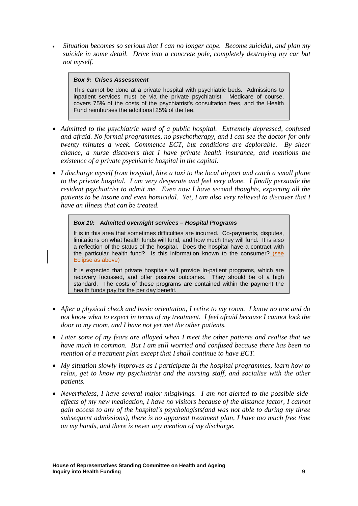*Situation becomes so serious that I can no longer cope. Become suicidal, and plan my suicide in some detail. Drive into a concrete pole, completely destroying my car but not myself.* 

### *Box 9: Crises Assessment*

This cannot be done at a private hospital with psychiatric beds. Admissions to inpatient services must be via the private psychiatrist. Medicare of course, covers 75% of the costs of the psychiatrist's consultation fees, and the Health Fund reimburses the additional 25% of the fee.

- *Admitted to the psychiatric ward of a public hospital. Extremely depressed, confused and afraid. No formal programmes, no psychotherapy, and I can see the doctor for only twenty minutes a week. Commence ECT, but conditions are deplorable. By sheer chance, a nurse discovers that I have private health insurance, and mentions the existence of a private psychiatric hospital in the capital.*
- *I discharge myself from hospital, hire a taxi to the local airport and catch a small plane to the private hospital. I am very desperate and feel very alone. I finally persuade the resident psychiatrist to admit me. Even now I have second thoughts, expecting all the patients to be insane and even homicidal. Yet, I am also very relieved to discover that I have an illness that can be treated.*

### *Box 10: Admitted overnight services – Hospital Programs*

It is in this area that sometimes difficulties are incurred. Co-payments, disputes, limitations on what health funds will fund, and how much they will fund. It is also a reflection of the status of the hospital. Does the hospital have a contract with the particular health fund? Is this information known to the consumer? (see Eclipse as above)

It is expected that private hospitals will provide In-patient programs, which are recovery focussed, and offer positive outcomes. They should be of a high standard. The costs of these programs are contained within the payment the health funds pay for the per day benefit.

- *After a physical check and basic orientation, I retire to my room. I know no one and do not know what to expect in terms of my treatment. I feel afraid because I cannot lock the door to my room, and I have not yet met the other patients.*
- *Later some of my fears are allayed when I meet the other patients and realise that we have much in common. But I am still worried and confused because there has been no mention of a treatment plan except that I shall continue to have ECT.*
- *My situation slowly improves as I participate in the hospital programmes, learn how to relax, get to know my psychiatrist and the nursing staff, and socialise with the other patients.*
- *Nevertheless, I have several major misgivings. I am not alerted to the possible sideeffects of my new medication, I have no visitors because of the distance factor, I cannot gain access to any of the hospital's psychologists(and was not able to during my three subsequent admissions), there is no apparent treatment plan, I have too much free time on my hands, and there is never any mention of my discharge.*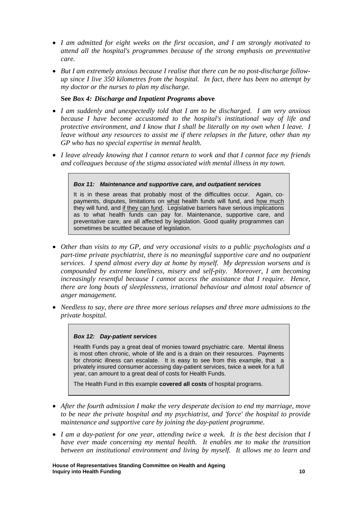- *I am admitted for eight weeks on the first occasion, and I am strongly motivated to attend all the hospital's programmes because of the strong emphasis on preventative care.*
- *But I am extremely anxious because I realise that there can be no post-discharge followup since I live 350 kilometres from the hospital. In fact, there has been no attempt by my doctor or the nurses to plan my discharge.*

### **See** *Box 4: Discharge and Inpatient Programs* **above**

- *I am suddenly and unexpectedly told that I am to be discharged. I am very anxious because I have become accustomed to the hospital's institutional way of life and protective environment, and I know that I shall be literally on my own when I leave. I leave without any resources to assist me if there relapses in the future, other than my GP who has no special expertise in mental health.*
- *I leave already knowing that I cannot return to work and that I cannot face my friends and colleagues because of the stigma associated with mental illness in my town.*

#### *Box 11: Maintenance and supportive care, and outpatient services*

It is in these areas that probably most of the difficulties occur. Again, copayments, disputes, limitations on what health funds will fund, and how much they will fund, and if they can fund. Legislative barriers have serious implications as to what health funds can pay for. Maintenance, supportive care, and preventative care, are all affected by legislation. Good quality programmes can sometimes be scuttled because of legislation.

- *Other than visits to my GP, and very occasional visits to a public psychologists and a part-time private psychiatrist, there is no meaningful supportive care and no outpatient services. I spend almost every day at home by myself. My depression worsens and is compounded by extreme loneliness, misery and self-pity. Moreover, I am becoming increasingly resentful because I cannot access the assistance that I require. Hence, there are long bouts of sleeplessness, irrational behaviour and almost total absence of anger management.*
- *Needless to say, there are three more serious relapses and three more admissions to the private hospital.*

#### *Box 12: Day-patient services*

Health Funds pay a great deal of monies toward psychiatric care. Mental illness is most often chronic, whole of life and is a drain on their resources. Payments for chronic illness can escalate. It is easy to see from this example, that a privately insured consumer accessing day-patient services, twice a week for a full year, can amount to a great deal of costs for Health Funds.

The Health Fund in this example **covered all costs** of hospital programs.

- *After the fourth admission I make the very desperate decision to end my marriage, move to be near the private hospital and my psychiatrist, and 'force' the hospital to provide maintenance and supportive care by joining the day-patient programme.*
- *I am a day-patient for one year, attending twice a week. It is the best decision that I have ever made concerning my mental health. It enables me to make the transition between an institutional environment and living by myself. It allows me to learn and*